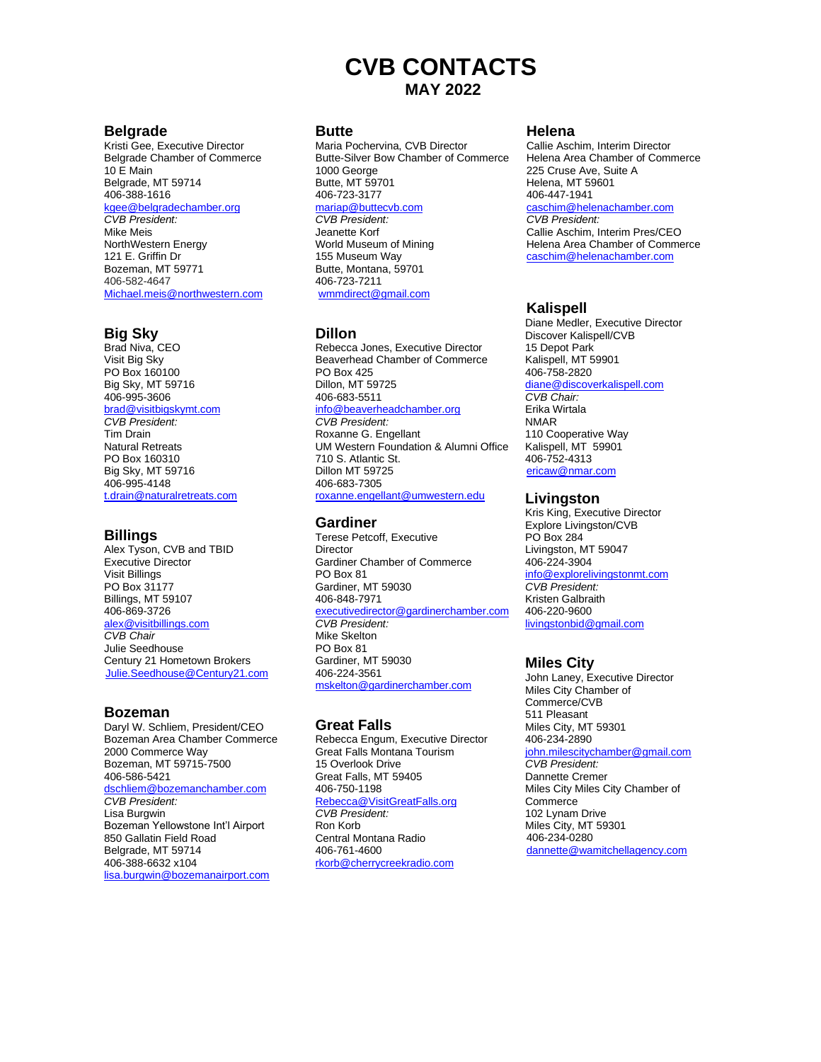# **CVB CONTACTS MAY 2022**

#### **Belgrade**

Kristi Gee, Executive Director Belgrade Chamber of Commerce 10 E Main Belgrade, MT 59714 406-388-1616 kgee@belgradechamber.org *CVB President:* Mike Meis NorthWestern Energy 121 E. Griffin Dr Bozeman, MT 59771 406-582-4647 Michael.meis@northwestern.com

#### **Big Sky**

Brad Niva, CEO Visit Big Sky PO Box 160100 Big Sky, MT 59716 406-995-3606 [brad@visitbigskymt.com](mailto:brad@visitbigskymt.com) *CVB President:* Tim Drain Natural Retreats PO Box 160310 Big Sky, MT 59716 406-995-4148 [t.drain@naturalretreats.com](mailto:t.drain@naturalretreats.com)

#### **Billings**

Alex Tyson, CVB and TBID Executive Director Visit Billings PO Box 31177 Billings, MT 59107 406-869-3726 [alex@visitbillings.com](mailto:alex@visitbillings.com) *CVB Chair* Julie Seedhouse Century 21 Hometown Brokers [Julie.Seedhouse@Century21.com](mailto:Julie.Seedhouse@Century21.com)

#### **Bozeman**

Daryl W. Schliem, President/CEO Bozeman Area Chamber Commerce 2000 Commerce Way Bozeman, MT 59715-7500 406-586-5421 [dschliem@bozemanchamber.com](mailto:dschliem@bozemanchamber.com) *CVB President:* Lisa Burgwin Bozeman Yellowstone Int'l Airport 850 Gallatin Field Road Belgrade, MT 59714 406-388-6632 x104 lisa.burgwin@bozemanairport.com

#### **Butte**

Maria Pochervina, CVB Director Butte-Silver Bow Chamber of Commerce 1000 George Butte, MT 59701 406-723-3177 [mariap@buttecvb.com](mailto:mariap@buttecvb.com) *CVB President:* Jeanette Korf World Museum of Mining 155 Museum Way Butte, Montana, 59701

406-723-7211 [wmmdirect@gmail.com](mailto:wmmdirect@gmail.com)

#### **Dillon**

Rebecca Jones, Executive Director Beaverhead Chamber of Commerce PO Box 425 Dillon, MT 59725 406-683-5511 info@beaverheadchamber.org *CVB President:*  Roxanne G. Engellant UM Western Foundation & Alumni Office 710 S. Atlantic St. Dillon MT 59725

roxanne.engellant@umwestern.edu

## **Gardiner**

406-683-7305

Terese Petcoff, Executive **Director** Gardiner Chamber of Commerce PO Box 81 Gardiner, MT 59030 406-848-7971 [e](mailto:bshesky@gardinerchamber.com)[xecutivedirector@gardinerchamber.com](mailto:xecutivedirector@gardinerchamber.com) *CVB President:*  Mike Skelton PO Box 81 Gardiner, MT 59030 406-224-3561 mskelto[n@gardinerchamber.com](mailto:xecutivedirector@gardinerchamber.com)

# **Great Falls**

Rebecca Engum, Executive Director Great Falls Montana Tourism 15 Overlook Drive Great Falls, MT 59405 406-750-1198 [Rebecca@VisitGreatFalls.org](mailto:Rebecca@VisitGreatFalls.org) *CVB President:* Ron Korb Central Montana Radio 406-761-4600 [rkorb@cherrycreekradio.com](mailto:rkorb@cherrycreekradio.com)

#### **Helena**

Callie Aschim, Interim Director Helena Area Chamber of Commerce 225 Cruse Ave, Suite A Helena, MT 59601 406-447-1941 [caschim@helenachamber.com](mailto:caschim@helenachamber.com) *CVB President:* Callie Aschim, Interim Pres/CEO Helena Area Chamber of Commerce [caschim@helenachamber.com](mailto:caschim@helenachamber.com)

# **Kalispell**

Diane Medler, Executive Director Discover Kalispell/CVB 15 Depot Park Kalispell, MT 59901 406-758-2820 [diane@discoverkalispell.com](mailto:diane@discoverkalispell.com)

*CVB Chair:* Erika Wirtala NMAR 110 Cooperative Way Kalispell, MT 59901 406-752-4313 ericaw@nmar.com

## **Livingston**

Kris King, Executive Director Explore Livingston/CVB PO Box 284 Livingston, MT 59047 406-224-3904 [info@explorelivingstonmt.com](mailto:info@explorelivingstonmt.com) *CVB President:* Kristen Galbraith 406-220-9600 [livingstonbid@gmail.com](mailto:livingstonbid@gmail.com)

## **Miles City**

John Laney, Executive Director Miles City Chamber of Commerce/CVB 511 Pleasant Miles City, MT 59301 406-234-2890 john.milescitychamber@gmail.com *CVB President:* Dannette Cremer Miles City Miles City Chamber of **Commerce** 102 Lynam Drive Miles City, MT 59301 406-234-0280 [dannette@wamitchellagency.com](mailto:dannette@wamitchellagency.com)